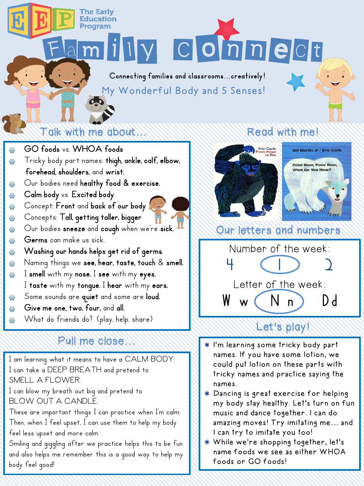illy Connect Connecting families and classrooms...creatively!

My Wonderful Body and 5 Senses!

### Talk with me about…  $\langle\langle\langle\rangle\rangle\rangle$  . Read with me!

The Earlv Education Program

### GO foods vs. WHOA foods ₩

- Tricky body part names: thigh, ankle, calf, elbow, **SO**forehead, shoulders, and wrist.
- Our bodies need healthy food & exercise. ₩
- Calm body vs. Excited body ₩
- Concept: Front and back of our body ₩
- Concepts: Tall, getting taller, bigger **SO-**
- Our bodies sneeze and cough when we're sick. ₩
- Germs can make us sick. ₩
- Washing our hands helps get rid of germs. ₩
- Naming things we see, hear, taste, touch & smell. ₩
- I smell with my nose. I see with my eyes. **SO-**
	- I taste with my tongue. I hear with my ears.
- Some sounds are quiet and some are loud. ₩
- Give me one, two, four, and all. ₩
- What do friends do? (play, help, share) ₩

## Pull me close…

I am learning what it means to have a CALM BODY: I can take a DEEP BREATH and pretend to SMELL A FLOWER. I can blow my breath out big and pretend to BLOW OUT A CANDLE. These are important things I can practice when I'm calm. Then, when I feel upset, I can use them to help my body feel less upset and more calm. Smiling and giggling after we practice helps this to be fun and also helps me remember this is a good way to help my body feel good!





# Our letters and numbers



# Let's play!

- I'm learning some tricky body part names. If you have some lotion, we could put lotion on these parts with tricky names and practice saying the names.
- Dancing is great exercise for helping my body stay healthy. Let's turn on fun music and dance together. I can do amazing moves! Try imitating me… and I can try to imitate you too!
- While we're shopping together, let's name foods we see as either WHOA foods or GO foods!